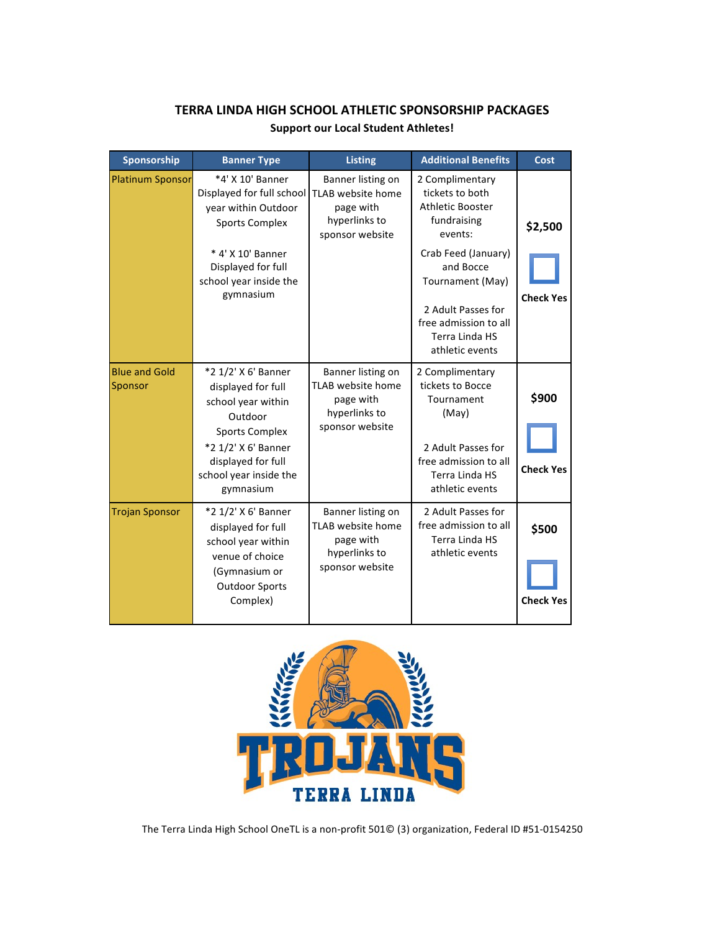| Sponsorship                     | <b>Banner Type</b>                                                                                                                                                                      | <b>Listing</b>                                                                                 | <b>Additional Benefits</b>                                                                                                                            | Cost                      |
|---------------------------------|-----------------------------------------------------------------------------------------------------------------------------------------------------------------------------------------|------------------------------------------------------------------------------------------------|-------------------------------------------------------------------------------------------------------------------------------------------------------|---------------------------|
| <b>Platinum Sponsor</b>         | *4' X 10' Banner<br>Displayed for full school<br>year within Outdoor<br><b>Sports Complex</b>                                                                                           | Banner listing on<br>TLAB website home<br>page with<br>hyperlinks to<br>sponsor website        | 2 Complimentary<br>tickets to both<br>Athletic Booster<br>fundraising<br>events:                                                                      | \$2,500                   |
|                                 | * 4' X 10' Banner<br>Displayed for full<br>school year inside the<br>gymnasium                                                                                                          |                                                                                                | Crab Feed (January)<br>and Bocce<br>Tournament (May)<br>2 Adult Passes for<br>free admission to all<br>Terra Linda HS<br>athletic events              | <b>Check Yes</b>          |
| <b>Blue and Gold</b><br>Sponsor | *2 1/2' X 6' Banner<br>displayed for full<br>school year within<br>Outdoor<br><b>Sports Complex</b><br>*2 1/2' X 6' Banner<br>displayed for full<br>school year inside the<br>gymnasium | Banner listing on<br>TLAB website home<br>page with<br>hyperlinks to<br>sponsor website        | 2 Complimentary<br>tickets to Bocce<br>Tournament<br>(May)<br>2 Adult Passes for<br>free admission to all<br><b>Terra Linda HS</b><br>athletic events | \$900<br><b>Check Yes</b> |
| <b>Trojan Sponsor</b>           | *2 1/2' X 6' Banner<br>displayed for full<br>school year within<br>venue of choice<br>(Gymnasium or<br><b>Outdoor Sports</b><br>Complex)                                                | Banner listing on<br><b>TLAB</b> website home<br>page with<br>hyperlinks to<br>sponsor website | 2 Adult Passes for<br>free admission to all<br>Terra Linda HS<br>athletic events                                                                      | \$500<br><b>Check Yes</b> |

## **TERRA LINDA HIGH SCHOOL ATHLETIC SPONSORSHIP PACKAGES Support our Local Student Athletes!**



The Terra Linda High School OneTL is a non-profit 501© (3) organization, Federal ID #51-0154250